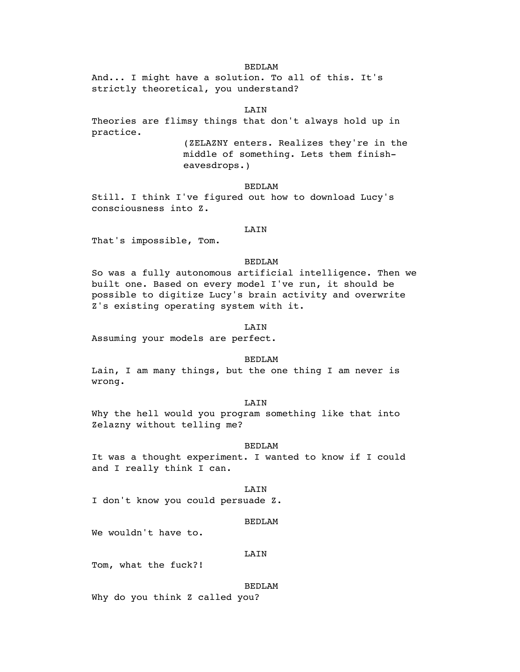And... I might have a solution. To all of this. It's strictly theoretical, you understand?

### **T.ATN**

Theories are flimsy things that don't always hold up in practice.

(ZELAZNY enters. Realizes they're in the middle of something. Lets them finisheavesdrops.)

### BEDLAM

Still. I think I've figured out how to download Lucy's consciousness into Z.

### LAIN

That's impossible, Tom.

### BEDLAM

So was a fully autonomous artificial intelligence. Then we built one. Based on every model I've run, it should be possible to digitize Lucy's brain activity and overwrite Z's existing operating system with it.

# LAIN

Assuming your models are perfect.

### BEDLAM

Lain, I am many things, but the one thing I am never is wrong.

### LAIN

Why the hell would you program something like that into Zelazny without telling me?

#### BEDLAM

It was a thought experiment. I wanted to know if I could and I really think I can.

### **T.ATN**

I don't know you could persuade Z.

#### BEDLAM

We wouldn't have to.

#### LAIN

Tom, what the fuck?!

#### BEDLAM

Why do you think Z called you?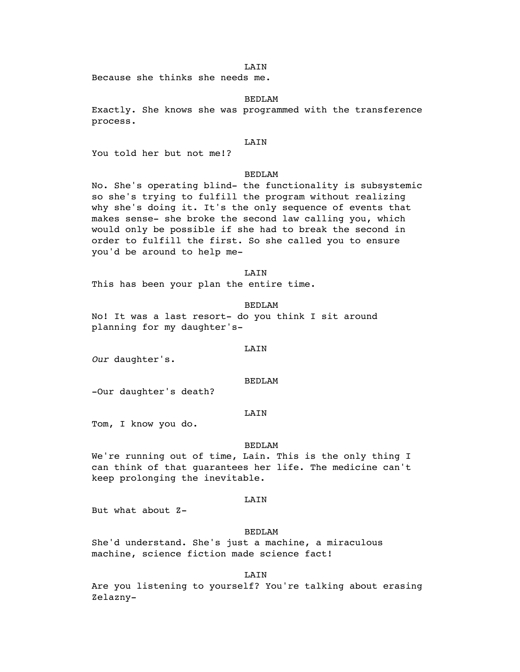LAIN

Because she thinks she needs me.

# BEDLAM

Exactly. She knows she was programmed with the transference process.

#### LAIN

You told her but not me!?

# BEDLAM

No. She's operating blind- the functionality is subsystemic so she's trying to fulfill the program without realizing why she's doing it. It's the only sequence of events that makes sense- she broke the second law calling you, which would only be possible if she had to break the second in order to fulfill the first. So she called you to ensure you'd be around to help me-

### **T.ATN**

This has been your plan the entire time.

#### BEDLAM

No! It was a last resort- do you think I sit around planning for my daughter's-

### LAIN

*Our* daughter's.

#### BEDLAM

-Our daughter's death?

#### **T.ATN**

Tom, I know you do.

#### BEDLAM

We're running out of time, Lain. This is the only thing I can think of that guarantees her life. The medicine can't keep prolonging the inevitable.

#### LAIN

But what about Z-

### BEDLAM

She'd understand. She's just a machine, a miraculous machine, science fiction made science fact!

LAIN

Are you listening to yourself? You're talking about erasing Zelazny-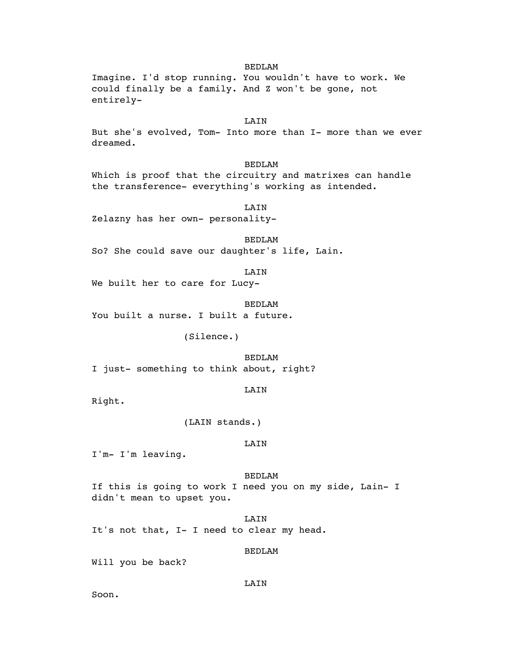Imagine. I'd stop running. You wouldn't have to work. We could finally be a family. And Z won't be gone, not entirely-

# LAIN

But she's evolved, Tom- Into more than I- more than we ever dreamed.

### BEDLAM

Which is proof that the circuitry and matrixes can handle the transference- everything's working as intended.

LAIN Zelazny has her own- personality-

BEDLAM So? She could save our daughter's life, Lain.

LAIN

We built her to care for Lucy-

BEDLAM

You built a nurse. I built a future.

(Silence.)

BEDLAM I just- something to think about, right?

LAIN

Right.

(LAIN stands.)

#### LAIN

I'm- I'm leaving.

BEDLAM If this is going to work I need you on my side, Lain- I didn't mean to upset you.

LAIN It's not that, I- I need to clear my head.

# BEDLAM

Will you be back?

LAIN

Soon.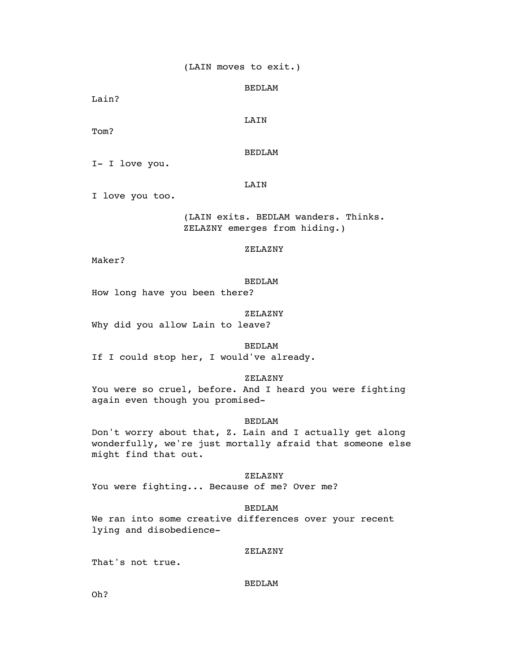Lain?

LAIN

Tom?

BEDLAM

I- I love you.

### LAIN

I love you too.

(LAIN exits. BEDLAM wanders. Thinks. ZELAZNY emerges from hiding.)

ZELAZNY

Maker?

BEDLAM

How long have you been there?

# ZELAZNY

Why did you allow Lain to leave?

BEDLAM If I could stop her, I would've already.

ZELAZNY

You were so cruel, before. And I heard you were fighting again even though you promised-

# BEDLAM

Don't worry about that, Z. Lain and I actually get along wonderfully, we're just mortally afraid that someone else might find that out.

ZELAZNY

You were fighting... Because of me? Over me?

### BEDLAM

We ran into some creative differences over your recent lying and disobedience-

### ZELAZNY

That's not true.

BEDLAM

Oh?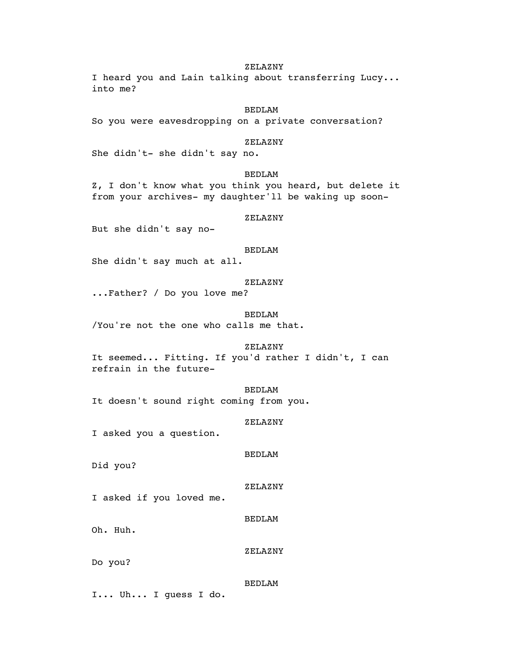### ZELAZNY

I heard you and Lain talking about transferring Lucy... into me?

### BEDLAM

So you were eavesdropping on a private conversation?

### ZELAZNY

She didn't- she didn't say no.

### BEDLAM

Z, I don't know what you think you heard, but delete it from your archives- my daughter'll be waking up soon-

### ZELAZNY

But she didn't say no-

### BEDLAM

She didn't say much at all.

### ZELAZNY

...Father? / Do you love me?

#### BEDLAM

/You're not the one who calls me that.

### ZELAZNY

It seemed... Fitting. If you'd rather I didn't, I can refrain in the future-

# BEDLAM

It doesn't sound right coming from you.

# ZELAZNY

I asked you a question.

#### BEDLAM

Did you?

#### ZELAZNY

I asked if you loved me.

BEDLAM

Oh. Huh.

### ZELAZNY

Do you?

### BEDLAM

I... Uh... I guess I do.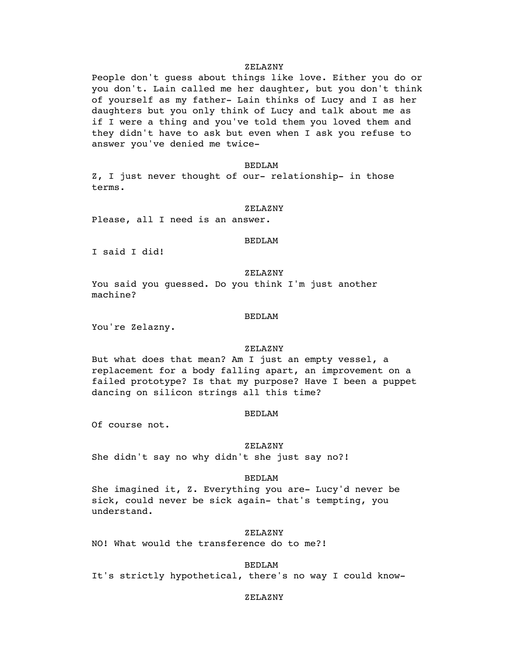### ZELAZNY

People don't guess about things like love. Either you do or you don't. Lain called me her daughter, but you don't think of yourself as my father- Lain thinks of Lucy and I as her daughters but you only think of Lucy and talk about me as if I were a thing and you've told them you loved them and they didn't have to ask but even when I ask you refuse to answer you've denied me twice-

#### BEDLAM

Z, I just never thought of our- relationship- in those terms.

#### ZELAZNY

Please, all I need is an answer.

### BEDLAM

I said I did!

#### ZELAZNY

You said you guessed. Do you think I'm just another machine?

#### BEDLAM

You're Zelazny.

# ZELAZNY

But what does that mean? Am I just an empty vessel, a replacement for a body falling apart, an improvement on a failed prototype? Is that my purpose? Have I been a puppet dancing on silicon strings all this time?

### BEDLAM

Of course not.

#### ZELAZNY

She didn't say no why didn't she just say no?!

#### BEDLAM

She imagined it, Z. Everything you are- Lucy'd never be sick, could never be sick again- that's tempting, you understand.

### ZELAZNY

NO! What would the transference do to me?!

# BEDLAM

It's strictly hypothetical, there's no way I could know-

### ZELAZNY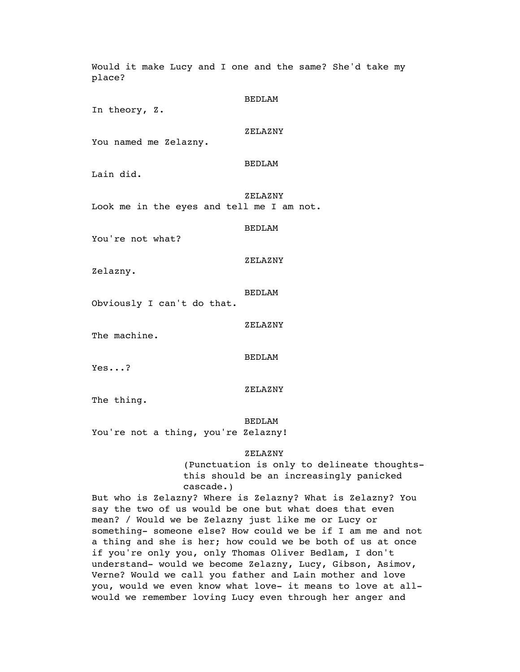Would it make Lucy and I one and the same? She'd take my place? BEDLAM In theory, Z. ZELAZNY You named me Zelazny. BEDLAM Lain did. ZELAZNY Look me in the eyes and tell me I am not. BEDLAM You're not what? ZELAZNY Zelazny. BEDLAM Obviously I can't do that. ZELAZNY The machine. BEDLAM Yes...? ZELAZNY The thing. BEDLAM You're not a thing, you're Zelazny! ZELAZNY (Punctuation is only to delineate thoughtsthis should be an increasingly panicked cascade.)

But who is Zelazny? Where is Zelazny? What is Zelazny? You say the two of us would be one but what does that even mean? / Would we be Zelazny just like me or Lucy or something- someone else? How could we be if I am me and not a thing and she is her; how could we be both of us at once if you're only you, only Thomas Oliver Bedlam, I don't understand- would we become Zelazny, Lucy, Gibson, Asimov, Verne? Would we call you father and Lain mother and love you, would we even know what love- it means to love at allwould we remember loving Lucy even through her anger and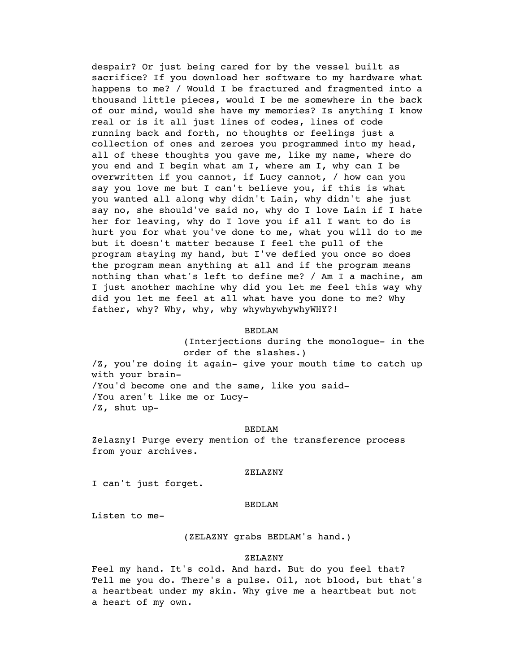despair? Or just being cared for by the vessel built as sacrifice? If you download her software to my hardware what happens to me? / Would I be fractured and fragmented into a thousand little pieces, would I be me somewhere in the back of our mind, would she have my memories? Is anything I know real or is it all just lines of codes, lines of code running back and forth, no thoughts or feelings just a collection of ones and zeroes you programmed into my head, all of these thoughts you gave me, like my name, where do you end and I begin what am I, where am I, why can I be overwritten if you cannot, if Lucy cannot, / how can you say you love me but I can't believe you, if this is what you wanted all along why didn't Lain, why didn't she just say no, she should've said no, why do I love Lain if I hate her for leaving, why do I love you if all I want to do is hurt you for what you've done to me, what you will do to me but it doesn't matter because I feel the pull of the program staying my hand, but I've defied you once so does the program mean anything at all and if the program means nothing than what's left to define me? / Am I a machine, am I just another machine why did you let me feel this way why did you let me feel at all what have you done to me? Why father, why? Why, why, why whywhywhywhyWHY?!

### BEDLAM

(Interjections during the monologue- in the order of the slashes.) /Z, you're doing it again- give your mouth time to catch up with your brain- /You'd become one and the same, like you said- /You aren't like me or Lucy- /Z, shut up-

#### BEDLAM

Zelazny! Purge every mention of the transference process from your archives.

#### ZELAZNY

I can't just forget.

### BEDLAM

Listen to me-

(ZELAZNY grabs BEDLAM's hand.)

#### ZELAZNY

Feel my hand. It's cold. And hard. But do you feel that? Tell me you do. There's a pulse. Oil, not blood, but that's a heartbeat under my skin. Why give me a heartbeat but not a heart of my own.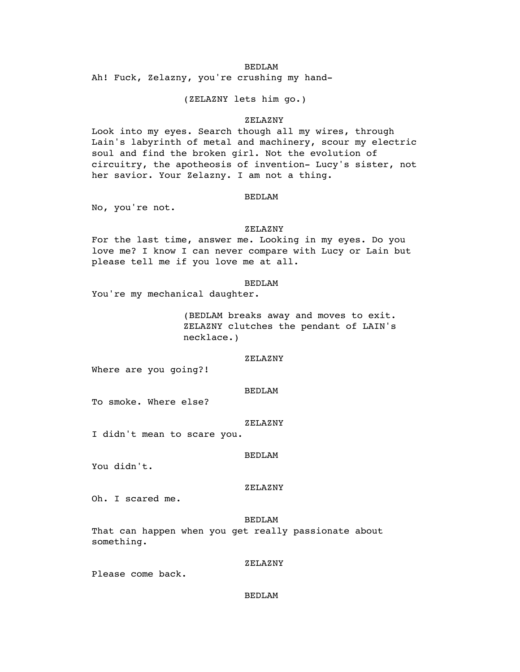Ah! Fuck, Zelazny, you're crushing my hand-

(ZELAZNY lets him go.)

# ZELAZNY

Look into my eyes. Search though all my wires, through Lain's labyrinth of metal and machinery, scour my electric soul and find the broken girl. Not the evolution of circuitry, the apotheosis of invention- Lucy's sister, not her savior. Your Zelazny. I am not a thing.

### BEDLAM

No, you're not.

### ZELAZNY

For the last time, answer me. Looking in my eyes. Do you love me? I know I can never compare with Lucy or Lain but please tell me if you love me at all.

### BEDLAM

You're my mechanical daughter.

(BEDLAM breaks away and moves to exit. ZELAZNY clutches the pendant of LAIN's necklace.)

### ZELAZNY

Where are you going?!

### BEDLAM

To smoke. Where else?

#### ZELAZNY

I didn't mean to scare you.

#### BEDLAM

You didn't.

### ZELAZNY

Oh. I scared me.

### BEDLAM

That can happen when you get really passionate about something.

### ZELAZNY

Please come back.

### BEDLAM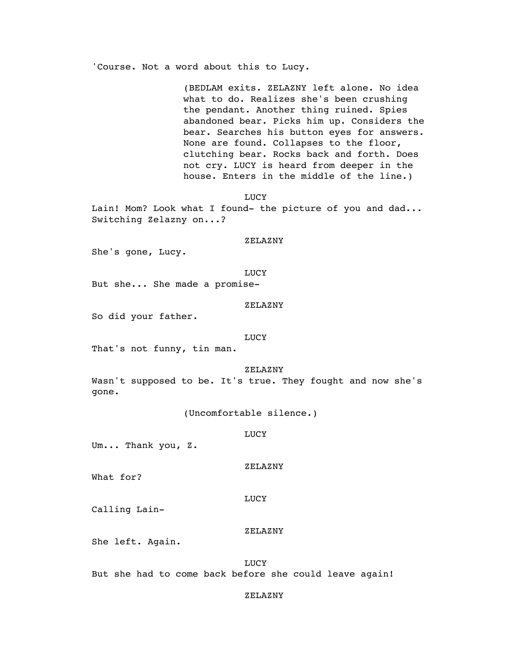'Course. Not a word about this to Lucy.

(BEDLAM exits. ZELAZNY left alone. No idea what to do. Realizes she's been crushing the pendant. Another thing ruined. Spies abandoned bear. Picks him up. Considers the bear. Searches his button eyes for answers. None are found. Collapses to the floor, clutching bear. Rocks back and forth. Does not cry. LUCY is heard from deeper in the house. Enters in the middle of the line.)

LUCY

Lain! Mom? Look what I found- the picture of you and dad... Switching Zelazny on...?

### ZELAZNY

She's gone, Lucy.

### **LUCY**

But she... She made a promise-

#### ZELAZNY

So did your father.

#### LUCY

That's not funny, tin man.

### ZELAZNY

Wasn't supposed to be. It's true. They fought and now she's gone.

(Uncomfortable silence.)

#### LUCY

Um... Thank you, Z.

### ZELAZNY

What for?

### LUCY

Calling Lain-

### ZELAZNY

She left. Again.

**LUCY** But she had to come back before she could leave again!

#### ZELAZNY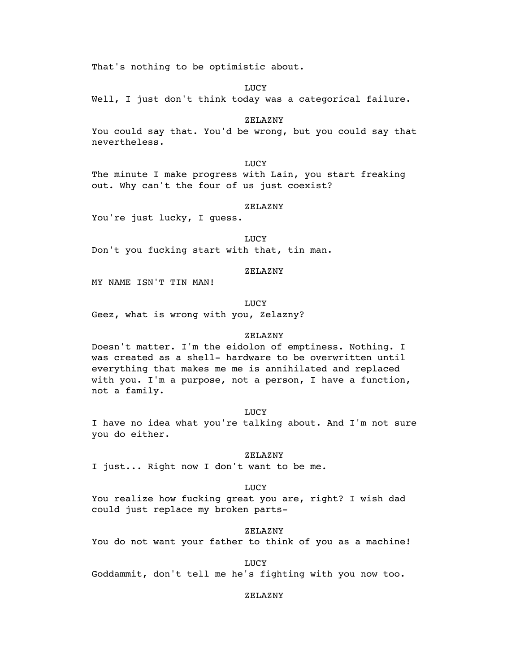That's nothing to be optimistic about.

LUCY

Well, I just don't think today was a categorical failure.

ZELAZNY

You could say that. You'd be wrong, but you could say that nevertheless.

**LUCY** 

The minute I make progress with Lain, you start freaking out. Why can't the four of us just coexist?

### ZELAZNY

You're just lucky, I guess.

**LUCY** Don't you fucking start with that, tin man.

# ZELAZNY

MY NAME ISN'T TIN MAN!

**LUCY** 

Geez, what is wrong with you, Zelazny?

### ZELAZNY

Doesn't matter. I'm the eidolon of emptiness. Nothing. I was created as a shell- hardware to be overwritten until everything that makes me me is annihilated and replaced with you. I'm a purpose, not a person, I have a function, not a family.

#### LUCY

I have no idea what you're talking about. And I'm not sure you do either.

#### ZELAZNY

I just... Right now I don't want to be me.

LUCY

You realize how fucking great you are, right? I wish dad could just replace my broken parts-

ZELAZNY

You do not want your father to think of you as a machine!

**LUCY** 

Goddammit, don't tell me he's fighting with you now too.

#### ZELAZNY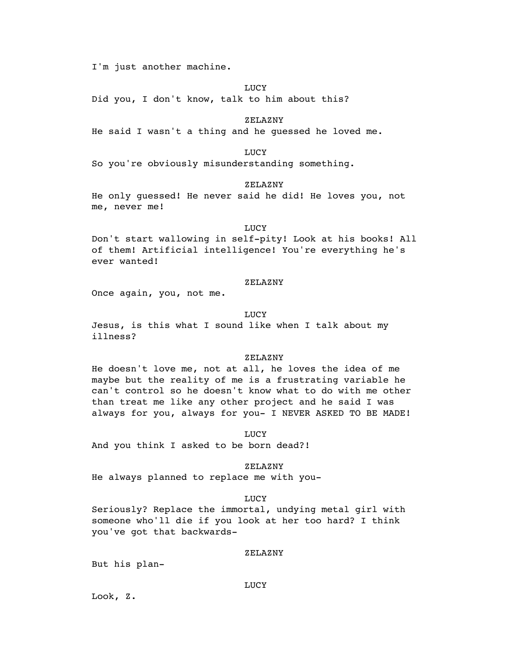I'm just another machine.

LUCY

Did you, I don't know, talk to him about this?

ZELAZNY

He said I wasn't a thing and he guessed he loved me.

LUCY

So you're obviously misunderstanding something.

ZELAZNY

He only guessed! He never said he did! He loves you, not me, never me!

LUCY

Don't start wallowing in self-pity! Look at his books! All of them! Artificial intelligence! You're everything he's ever wanted!

#### ZELAZNY

Once again, you, not me.

LUCY

Jesus, is this what I sound like when I talk about my illness?

#### ZELAZNY

He doesn't love me, not at all, he loves the idea of me maybe but the reality of me is a frustrating variable he can't control so he doesn't know what to do with me other than treat me like any other project and he said I was always for you, always for you- I NEVER ASKED TO BE MADE!

LUCY

And you think I asked to be born dead?!

### ZELAZNY

He always planned to replace me with you-

#### LUCY

Seriously? Replace the immortal, undying metal girl with someone who'll die if you look at her too hard? I think you've got that backwards-

#### ZELAZNY

But his plan-

#### LUCY

Look, Z.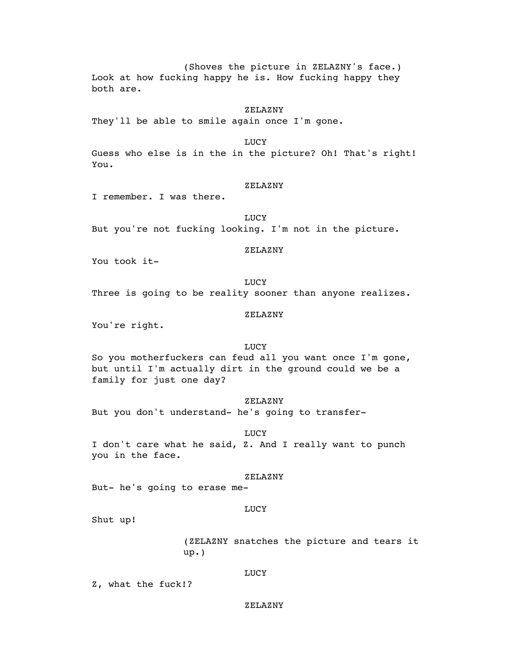(Shoves the picture in ZELAZNY's face.) Look at how fucking happy he is. How fucking happy they both are.

#### ZELAZNY

They'll be able to smile again once I'm gone.

LUCY

Guess who else is in the in the picture? Oh! That's right! You.

### ZELAZNY

I remember. I was there.

LUCY But you're not fucking looking. I'm not in the picture.

# ZELAZNY

You took it-

LUCY Three is going to be reality sooner than anyone realizes.

### ZELAZNY

You're right.

#### **LUCY**

So you motherfuckers can feud all you want once I'm gone, but until I'm actually dirt in the ground could we be a family for just one day?

# ZELAZNY

But you don't understand- he's going to transfer-

#### **LUCY**

I don't care what he said, Z. And I really want to punch you in the face.

### ZELAZNY

But- he's going to erase me-

### LUCY

Shut up!

(ZELAZNY snatches the picture and tears it up.)

### LUCY

Z, what the fuck!?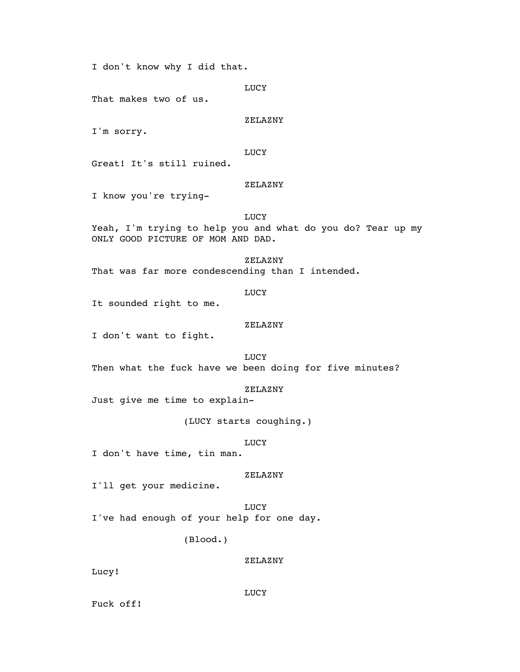I don't know why I did that.

LUCY

That makes two of us.

ZELAZNY

I'm sorry.

LUCY

Great! It's still ruined.

# ZELAZNY

I know you're trying-

### **LUCY**

Yeah, I'm trying to help you and what do you do? Tear up my ONLY GOOD PICTURE OF MOM AND DAD.

ZELAZNY

That was far more condescending than I intended.

LUCY

It sounded right to me.

### ZELAZNY

I don't want to fight.

LUCY

Then what the fuck have we been doing for five minutes?

ZELAZNY

Just give me time to explain-

(LUCY starts coughing.)

LUCY

I don't have time, tin man.

ZELAZNY

I'll get your medicine.

**LUCY** I've had enough of your help for one day.

(Blood.)

ZELAZNY

Lucy!

LUCY

Fuck off!